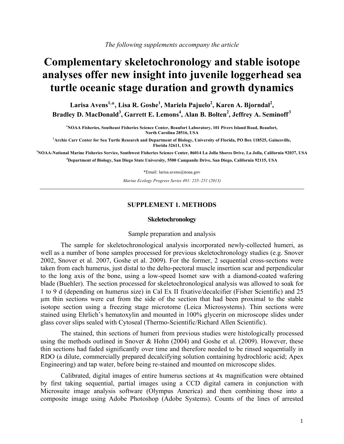# **Complementary skeletochronology and stable isotope analyses offer new insight into juvenile loggerhead sea turtle oceanic stage duration and growth dynamics**

Larisa Avens<sup>1,</sup>\*, Lisa R. Goshe<sup>1</sup>, Mariela Pajuelo<sup>2</sup>, Karen A. Bjorndal<sup>2</sup>, Bradley D. MacDonald<sup>3</sup>, Garrett E. Lemons<sup>4</sup>, Alan B. Bolten<sup>2</sup>, Jeffrey A. Seminoff<sup>3</sup>

**1 NOAA Fisheries, Southeast Fisheries Science Center, Beaufort Laboratory, 101 Pivers Island Road, Beaufort, North Carolina 28516, USA** 

**2 Archie Carr Center for Sea Turtle Research and Department of Biology, University of Florida, PO Box 118525, Gainesville, Florida 32611, USA** 

**3 NOAA-National Marine Fisheries Service, Southwest Fisheries Science Center, 86014 La Jolla Shores Drive, La Jolla, California 92037, USA 4 Department of Biology, San Diego State University, 5500 Campanile Drive, San Diego, California 92115, USA**

\*Email: larisa.avens@noaa.gov

*Marine Ecology Progress Series 491: 235–251 (2013)* 

## **SUPPLEMENT 1. METHODS**

#### **Skeletochronology**

#### Sample preparation and analysis

The sample for skeletochronological analysis incorporated newly-collected humeri, as well as a number of bone samples processed for previous skeletochronology studies (e.g. Snover 2002, Snover et al. 2007, Goshe et al. 2009). For the former, 2 sequential cross-sections were taken from each humerus, just distal to the delto-pectoral muscle insertion scar and perpendicular to the long axis of the bone, using a low-speed Isomet saw with a diamond-coated wafering blade (Buehler). The section processed for skeletochronological analysis was allowed to soak for 1 to 9 d (depending on humerus size) in Cal Ex II fixative/decalcifier (Fisher Scientific) and 25 µm thin sections were cut from the side of the section that had been proximal to the stable isotope section using a freezing stage microtome (Leica Microsystems). Thin sections were stained using Ehrlich's hematoxylin and mounted in 100% glycerin on microscope slides under glass cover slips sealed with Cytoseal (Thermo-Scientific/Richard Allen Scientific).

The stained, thin sections of humeri from previous studies were histologically processed using the methods outlined in Snover & Hohn (2004) and Goshe et al. (2009). However, these thin sections had faded significantly over time and therefore needed to be rinsed sequentially in RDO (a dilute, commercially prepared decalcifying solution containing hydrochloric acid; Apex Engineering) and tap water, before being re-stained and mounted on microscope slides.

Calibrated, digital images of entire humerus sections at 4x magnification were obtained by first taking sequential, partial images using a CCD digital camera in conjunction with Microsuite image analysis software (Olympus America) and then combining those into a composite image using Adobe Photoshop (Adobe Systems). Counts of the lines of arrested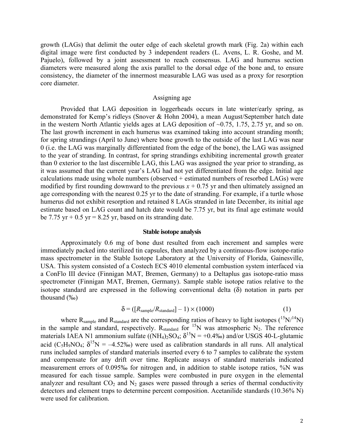growth (LAGs) that delimit the outer edge of each skeletal growth mark (Fig. 2a) within each digital image were first conducted by 3 independent readers (L. Avens, L. R. Goshe, and M. Pajuelo), followed by a joint assessment to reach consensus. LAG and humerus section diameters were measured along the axis parallel to the dorsal edge of the bone and, to ensure consistency, the diameter of the innermost measurable LAG was used as a proxy for resorption core diameter.

## Assigning age

Provided that LAG deposition in loggerheads occurs in late winter/early spring, as demonstrated for Kemp's ridleys (Snover & Hohn 2004), a mean August/September hatch date in the western North Atlantic yields ages at LAG deposition of ~0.75, 1.75, 2.75 yr, and so on. The last growth increment in each humerus was examined taking into account stranding month; for spring strandings (April to June) where bone growth to the outside of the last LAG was near 0 (i.e. the LAG was marginally differentiated from the edge of the bone), the LAG was assigned to the year of stranding. In contrast, for spring strandings exhibiting incremental growth greater than 0 exterior to the last discernible LAG, this LAG was assigned the year prior to stranding, as it was assumed that the current year's LAG had not yet differentiated from the edge. Initial age calculations made using whole numbers (observed + estimated numbers of resorbed LAGs) were modified by first rounding downward to the previous  $x + 0.75$  yr and then ultimately assigned an age corresponding with the nearest 0.25 yr to the date of stranding. For example, if a turtle whose humerus did not exhibit resorption and retained 8 LAGs stranded in late December, its initial age estimate based on LAG count and hatch date would be 7.75 yr, but its final age estimate would be 7.75 yr  $+ 0.5$  yr  $= 8.25$  yr, based on its stranding date.

#### **Stable isotope analysis**

Approximately 0.6 mg of bone dust resulted from each increment and samples were immediately packed into sterilized tin capsules, then analyzed by a continuous-flow isotope-ratio mass spectrometer in the Stable Isotope Laboratory at the University of Florida, Gainesville, USA. This system consisted of a Costech ECS 4010 elemental combustion system interfaced via a ConFlo III device (Finnigan MAT, Bremen, Germany) to a Deltaplus gas isotope-ratio mass spectrometer (Finnigan MAT, Bremen, Germany). Sample stable isotope ratios relative to the isotope standard are expressed in the following conventional delta  $(\delta)$  notation in parts per thousand (‰)

$$
\delta = ([R_{sample}/R_{standard}] - 1) \times (1000) \tag{1}
$$

where  $R_{sample}$  and  $R_{standard}$  are the corresponding ratios of heavy to light isotopes  $(^{15}N/^{14}N)$ in the sample and standard, respectively.  $R_{standard}$  for  $15N$  was atmospheric  $N_2$ . The reference materials IAEA N1 ammonium sulfate  $(NH_4)_2SO_4$ ;  $\delta^{15}N = +0.4\%$ ) and/or USGS 40-L-glutamic acid (C<sub>5</sub>H<sub>9</sub>NO<sub>4</sub>;  $\delta^{15}N = -4.52\%$ ) were used as calibration standards in all runs. All analytical runs included samples of standard materials inserted every 6 to 7 samples to calibrate the system and compensate for any drift over time. Replicate assays of standard materials indicated measurement errors of 0.095‰ for nitrogen and, in addition to stable isotope ratios, %N was measured for each tissue sample. Samples were combusted in pure oxygen in the elemental analyzer and resultant  $CO<sub>2</sub>$  and  $N<sub>2</sub>$  gases were passed through a series of thermal conductivity detectors and element traps to determine percent composition. Acetanilide standards (10.36% N) were used for calibration.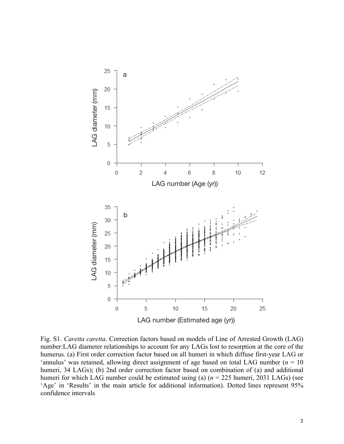

Fig. S1. *Caretta caretta*. Correction factors based on models of Line of Arrested Growth (LAG) number:LAG diameter relationships to account for any LAGs lost to resorption at the core of the humerus. (a) First order correction factor based on all humeri in which diffuse first-year LAG or 'annulus' was retained, allowing direct assignment of age based on total LAG number ( $n = 10$ ) humeri, 34 LAGs); (b) 2nd order correction factor based on combination of (a) and additional humeri for which LAG number could be estimated using (a) (*n* = 225 humeri, 2031 LAGs) (see 'Age' in 'Results' in the main article for additional information). Dotted lines represent 95% confidence intervals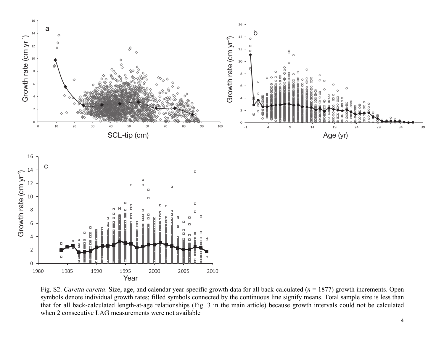

Fig. S2. *Caretta caretta*. Size, age, and calendar year-specific growth data for all back-calculated (*<sup>n</sup>* = 1877) growth increments. Open symbols denote individual growth rates; filled symbols connected by the continuous line signify means. Total sample size is less than that for all back-calculated length-at-age relationships (Fig. 3 in the main article) because growth intervals could not be calculated when 2 consecutive LAG measurements were not available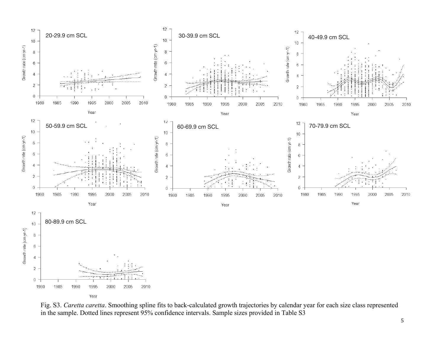

Fig. S3. *Caretta caretta*. Smoothing spline fits to back-calculated growth trajectories by calendar year for each size class represented in the sample. Dotted lines represent 95% confidence intervals. Sample sizes provided in Table S3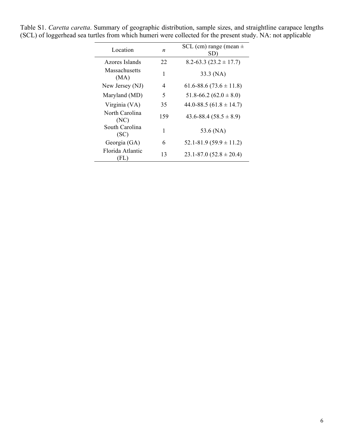| Location                 | n   | SCL (cm) range (mean $\pm$<br>SD) |  |  |  |  |  |  |  |  |
|--------------------------|-----|-----------------------------------|--|--|--|--|--|--|--|--|
| Azores Islands           | 22  | $8.2 - 63.3$ (23.2 $\pm$ 17.7)    |  |  |  |  |  |  |  |  |
| Massachusetts<br>(MA)    | 1   | 33.3 (NA)                         |  |  |  |  |  |  |  |  |
| New Jersey (NJ)          | 4   | $61.6 - 88.6 (73.6 \pm 11.8)$     |  |  |  |  |  |  |  |  |
| Maryland (MD)            | 5   | 51.8-66.2 (62.0 $\pm$ 8.0)        |  |  |  |  |  |  |  |  |
| Virginia (VA)            | 35  | 44.0-88.5 $(61.8 \pm 14.7)$       |  |  |  |  |  |  |  |  |
| North Carolina<br>(NC)   | 159 | $43.6 - 88.4 (58.5 \pm 8.9)$      |  |  |  |  |  |  |  |  |
| South Carolina<br>(SC)   | 1   | 53.6 (NA)                         |  |  |  |  |  |  |  |  |
| Georgia (GA)             | 6   | $52.1 - 81.9(59.9 \pm 11.2)$      |  |  |  |  |  |  |  |  |
| Florida Atlantic<br>(FL) | 13  | $23.1 - 87.0$ $(52.8 \pm 20.4)$   |  |  |  |  |  |  |  |  |

Table S1. *Caretta caretta*. Summary of geographic distribution, sample sizes, and straightline carapace lengths (SCL) of loggerhead sea turtles from which humeri were collected for the present study. NA: not applicable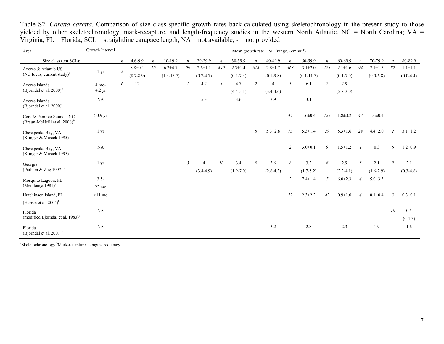| Area                                                                  | Growth Interval           | Mean growth rate $\pm$ SD (range) (cm yr <sup>-1</sup> ) |               |    |              |                  |               |                  |               |                  |               |                  |                |                  |               |                  |               |                |                  |
|-----------------------------------------------------------------------|---------------------------|----------------------------------------------------------|---------------|----|--------------|------------------|---------------|------------------|---------------|------------------|---------------|------------------|----------------|------------------|---------------|------------------|---------------|----------------|------------------|
| Size class (cm SCL):                                                  |                           | $\boldsymbol{n}$                                         | $4.6 - 9.9$   |    | 10-19.9      | $\boldsymbol{n}$ | 20-29.9       | $\boldsymbol{n}$ | 30-39.9       | $\boldsymbol{n}$ | 40-49.9       | $\boldsymbol{n}$ | 50-59.9        | $\boldsymbol{n}$ | 60-69.9       | $\boldsymbol{n}$ | 70-79.9       |                | 80-89.9          |
| Azores & Atlantic US                                                  | $1 \, yr$                 | $\overline{2}$                                           | $8.8 + 0.1$   | 10 | $6.2 + 4.7$  | 99               | $2.6 \pm 1.1$ | 490              | $2.7 \pm 1.4$ | 614              | $2.8 + 1.7$   | 363              | $3.1 \pm 2.0$  | 123              | $2.1 \pm 1.6$ | 94               | $2.1 \pm 1.5$ | 82             | $1.1 \pm 1.1$    |
| (NC focus; current study) $a$                                         |                           |                                                          | $(8.7 - 8.9)$ |    | $(1.3-13.7)$ |                  | $(0.7-4.7)$   |                  | $(0.1 - 7.3)$ |                  | $(0.1-9.8)$   |                  | $(0.1 - 11.7)$ |                  | $(0.1 - 7.0)$ |                  | $(0.0-6.8)$   |                | $(0.0-4.4)$      |
| Azores Islands<br>(Bjorndal et al. $2000$ ) <sup>b</sup>              | 4 mo-<br>$4.2 \text{ yr}$ | 6                                                        | 12            |    |              |                  | 4.2           | $\mathfrak{Z}$   | 4.7           | $\overline{c}$   |               |                  | 6.1            | $\overline{c}$   | 2.9           |                  |               |                |                  |
|                                                                       |                           |                                                          |               |    |              |                  |               |                  | $(4.5-5.1)$   |                  | $(3.4-4.6)$   |                  |                |                  | $(2.8-3.0)$   |                  |               |                |                  |
| Azores Islands<br>(Bjorndal et al. $2000$ ) <sup>c</sup>              | NA                        |                                                          |               |    |              |                  | 5.3           |                  | 4.6           |                  | 3.9           |                  | 3.1            |                  |               |                  |               |                |                  |
| Core & Pamlico Sounds, NC<br>(Braun-McNeill et al. 2008) <sup>b</sup> | $>0.9$ yr                 |                                                          |               |    |              |                  |               |                  |               |                  |               | 44               | $1.6 \pm 0.4$  | 122              | $1.8 + 0.2$   | 43               | $1.6 \pm 0.4$ |                |                  |
| Chesapeake Bay, VA<br>(Klinger & Musick 1995) <sup>a</sup>            | $1 \, yr$                 |                                                          |               |    |              |                  |               |                  |               | 6                | $5.3 \pm 2.8$ | 13               | $5.3 \pm 1.4$  | 29               | $5.3 \pm 1.6$ | 24               | $4.4 \pm 2.0$ | $\mathfrak{D}$ | $3.1 \pm 1.2$    |
| Chesapeake Bay, VA<br>(Klinger & Musick 1995) <sup>b</sup>            | NA                        |                                                          |               |    |              |                  |               |                  |               |                  |               | $\overline{c}$   | $3.0 \pm 0.1$  | 9                | $1.5 \pm 1.2$ |                  | 0.3           | 6              | $1.2 \pm 0.9$    |
| Georgia                                                               | $1 \, yr$                 |                                                          |               |    |              | $\mathfrak{Z}$   |               | 10               | 3.4           | 9                | 3.6           | 8                | 3.3            | 6                | 2.9           | 5                | 2.1           | 9              | 2.1              |
| (Parham & Zug 1997) <sup>a</sup>                                      |                           |                                                          |               |    |              |                  | $(3.4-4.9)$   |                  | $(1.9-7.0)$   |                  | $(2.6-4.3)$   |                  | $(1.7-5.2)$    |                  | $(2.2-4.1)$   |                  | $(1.6-2.9)$   |                | $(0.3-4.6)$      |
| Mosquito Lagoon, FL                                                   | $3.5 -$                   |                                                          |               |    |              |                  |               |                  |               |                  |               | $\overline{2}$   | $7.4 \pm 1.4$  | $\mathcal{I}$    | $6.0 \pm 2.3$ | $\overline{4}$   | $5.0 \pm 3.5$ |                |                  |
| (Mendonça 1981) $b$                                                   | $22 \text{ mo}$           |                                                          |               |    |              |                  |               |                  |               |                  |               |                  |                |                  |               |                  |               |                |                  |
| Hutchinson Island, FL                                                 | $>11$ mo                  |                                                          |               |    |              |                  |               |                  |               |                  |               | 12               | $2.3 \pm 2.2$  | 42               | $0.9 \pm 1.0$ | $\overline{4}$   | $0.1 \pm 0.4$ | $\mathbf{3}$   | $0.3 \pm 0.1$    |
| (Herren et al. $2004$ ) <sup>b</sup>                                  |                           |                                                          |               |    |              |                  |               |                  |               |                  |               |                  |                |                  |               |                  |               |                |                  |
| Florida<br>(modified Bjorndal et al. $1983$ ) <sup>b</sup>            | NA                        |                                                          |               |    |              |                  |               |                  |               |                  |               |                  |                |                  |               |                  |               | 10             | 0.5<br>$(0-1.3)$ |
| Florida<br>(Bjorndal et al. 2001) $^{\circ}$                          | NA                        |                                                          |               |    |              |                  |               |                  |               |                  | 3.2           |                  | 2.8            |                  | 2.3           |                  | 1.9           |                | 1.6              |

Table S2. *Caretta caretta*. Comparison of size class-specific growth rates back-calculated using skeletochronology in the present study to those yielded by other skeletochronology, mark-recapture, and length-frequency studies in the western North Atlantic. NC = North Carolina; VA = Virginia; FL = Florida; SCL = straightline carapace length; NA = not available; - = not provided

 ${}^{a}$ Skeletochronology  ${}^{b}$ Mark-recapture  ${}^{c}$ Length-frequency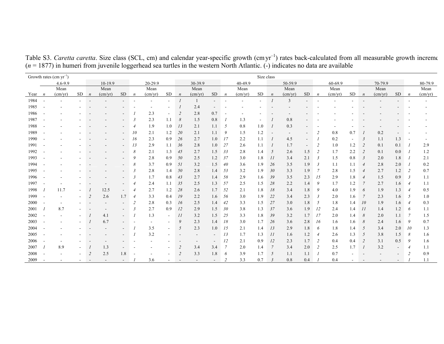| Growth rates $(cm yr^{-1})$ |                  |             |         |                  |                  |                          |                  |                  |                          |                          |                  | Size class               |                  |                  |           |                  |                          |                          |                      |                  |                |                  |                  |                          |                          |                  |  |
|-----------------------------|------------------|-------------|---------|------------------|------------------|--------------------------|------------------|------------------|--------------------------|--------------------------|------------------|--------------------------|------------------|------------------|-----------|------------------|--------------------------|--------------------------|----------------------|------------------|----------------|------------------|------------------|--------------------------|--------------------------|------------------|--|
|                             |                  | $4.6 - 9.9$ | 10-19.9 |                  |                  |                          | 20-29.9          |                  |                          | 30-39.9                  |                  |                          | 40-49.9          |                  |           | 50-59.9          |                          |                          | 60-69.9              |                  |                | 70-79.9          |                  |                          | 80-79.9                  |                  |  |
|                             |                  | Mean        |         |                  | Mean             |                          |                  | Mean             |                          |                          | Mean             |                          |                  | Mean             |           |                  | Mean                     |                          |                      | Mean             |                |                  | Mean             |                          |                          | Mean             |  |
| Year                        | $\boldsymbol{n}$ | (cm/yr)     | SD      | $\boldsymbol{n}$ | $\text{(cm/yr)}$ | <b>SD</b>                | $\boldsymbol{n}$ | $\text{(cm/yr)}$ | <b>SD</b>                | $\boldsymbol{n}$         | $\text{(cm/yr)}$ | <b>SD</b>                | $\boldsymbol{n}$ | $\text{(cm/yr)}$ | <b>SD</b> | $\boldsymbol{n}$ | $\text{(cm/yr)}$         | <b>SD</b>                | $\boldsymbol{n}$     | $\text{(cm/yr)}$ | <b>SD</b>      | $\boldsymbol{n}$ | $\text{(cm/yr)}$ | <b>SD</b>                | $\boldsymbol{n}$         | $\text{(cm/yr)}$ |  |
| 1984                        |                  |             |         |                  |                  |                          |                  |                  | $\sim$                   |                          |                  | $\sim$                   |                  |                  |           |                  | 3                        |                          |                      |                  |                |                  |                  |                          |                          |                  |  |
| 1985                        |                  |             |         |                  |                  |                          |                  |                  |                          |                          | 2.4              |                          |                  |                  |           |                  |                          |                          |                      |                  |                |                  |                  |                          |                          |                  |  |
| 1986                        |                  |             |         |                  |                  |                          |                  | 2.3              | $\blacksquare$           | 2                        | 2.8              | 0.7                      |                  |                  |           |                  |                          |                          |                      |                  |                |                  |                  |                          |                          |                  |  |
| 1987                        |                  |             |         |                  |                  |                          | $\mathfrak{Z}$   | 2.3              | 1.1                      | 8                        | 1.5              | 0.8                      |                  | 1.3              |           |                  | 0.8                      |                          |                      |                  |                |                  |                  |                          |                          |                  |  |
| 1988                        |                  |             |         |                  |                  |                          | $\overline{4}$   | 1.9              | 1.0                      | 13                       | 2.1              | 1.1                      | 5                | 0.8              | 1.0       |                  | 0.3                      |                          |                      |                  |                |                  |                  |                          |                          |                  |  |
| 1989                        |                  |             |         |                  |                  |                          | 10               | 2.1              | 1.2                      | 20                       | 2.1              | 1.1                      | 9                | 1.5              | 1.2       |                  | $\overline{\phantom{a}}$ | $\overline{\phantom{a}}$ | $\overline{2}$       | 0.8              | 0.7            |                  | 0.2              |                          |                          |                  |  |
| 1990                        |                  |             |         |                  |                  |                          | 16               | 2.3              | 0.9                      | 26                       | 2.7              | 1.0                      | 17               | 2.2              | 1.1       |                  | 4.5                      | $\overline{\phantom{a}}$ |                      | 0.2              | $\blacksquare$ | $\mathbf{3}$     | 1.1              | 1.3                      | $\overline{\phantom{a}}$ |                  |  |
| 1991                        |                  |             |         |                  |                  |                          | 13               | 2.9              | 1.1                      | 36                       | 2.8              | 1.0                      | 27               | 2.6              | 1.1       |                  | 1.7                      | $\overline{\phantom{a}}$ | $\overline{2}$       | 1.0              | 1.2            | $\overline{2}$   | 0.1              | 0.1                      |                          | 2.9              |  |
| 1992                        |                  |             |         |                  |                  |                          | 8                | 2.1              | 1.3                      | 45                       | 2.7              | 1.5                      | 33               | 2.8              | 1.4       | 5                | 2.6                      | 1.5                      | $\overline{2}$       | 1.7              | 2.2            | 2                | 0.1              | 0.0                      |                          | 1.2              |  |
| 1993                        |                  |             |         |                  |                  |                          | 9                | 2.8              | 0.9                      | 50                       | 2.5              | 1.2                      | 37               | 3.0              | 1.8       | 11               | 3.4                      | 2.1                      | $\mathfrak{Z}$       | 1.5              | 0.8            | 3                | 2.0              | 1.8                      |                          | 2.1              |  |
| 1994                        |                  |             |         |                  |                  |                          | 8                | 3.7              | 0.9                      | 51                       | 3.2              | 1.5                      | 40               | 3.6              | 1.9       | 26               | 3.5                      | 1.9                      | $\boldsymbol{\beta}$ | 1.1              | 1.1            | $\overline{4}$   | 2.8              | 2.0                      |                          | 0.2              |  |
| 1995                        |                  |             |         |                  |                  |                          | $\mathfrak{Z}$   | 2.8              | 1.4                      | 50                       | 2.8              | 1.4                      | 53               | 3.2              | 1.9       | 30               | 3.3                      | 1.9                      | 7                    | 2.8              | 1.5            | $\overline{4}$   | 2.7              | 1.2                      | 2                        | 0.7              |  |
| 1996                        |                  |             |         |                  |                  |                          | $\mathbf{3}$     | 1.7              | 0.8                      | 43                       | 2.7              | 1.4                      | 58               | 2.9              | 1.6       | 39               | 3.5                      | 2.3                      | 15                   | 2.9              | 1.8            | $\overline{4}$   | 1.5              | 0.9                      | $\overline{\mathbf{3}}$  | 1.1              |  |
| 1997                        |                  |             |         |                  |                  |                          | 4                | 2.4              | 1.1                      | 35                       | 2.5              | 1.3                      | 57               | 2.5              | 1.5       | 28               | 2.2                      | 1.4                      | 9                    | 1.7              | 1.2            |                  | 2.7              | 1.6                      | $\overline{4}$           | 1.1              |  |
| 1998                        |                  | 11.7        |         |                  | 12.5             |                          | $\overline{4}$   | 2.7              | 1.2                      | 28                       | 2.6              | 1.7                      | 52               | 2.1              | 1.8       | 18               | 3.4                      | 1.8                      | 9                    | 4.0              | 1.9            | 6                | 1.9              | 1.3                      | $\overline{4}$           | 0.5              |  |
| 1999                        |                  |             |         | 2                | 2.6              | 1.7                      | $\overline{4}$   | 3.3              | 0.4                      | 19                       | 2.2              | 1.6                      | 56               | 3.0              | 1.9       | 22               | 3.4                      | 2.3                      | $\mathfrak{Z}$       | 2.0              | 1.6            |                  | 2.3              | 1.6                      | - 5                      | 1.0              |  |
| 2000                        |                  |             |         |                  |                  |                          | 2                | 2.8              | 0.3                      | 16                       | 2.5              | 1.4                      | 42               | 3.3              | 1.5       | 27               | 3.0                      | 1.8                      | 5                    | 1.8              | 1.4            | 10               | 1.9              | 1.6                      | $\overline{4}$           | 0.3              |  |
| 2001                        |                  | 8.7         |         |                  |                  |                          | 3                | 2.7              | 0.9                      | 12                       | 2.9              | 1.5                      | 30               | 3.8              | 1.3       | 37               | 3.6                      | 1.9                      | 12                   | 2.4              | 1.4            | 11               | 1.4              | 1.2                      | -6                       | 1.1              |  |
| 2002                        |                  |             |         |                  | 4.1              |                          |                  | 1.3              | $\sim$                   | 11                       | 3.2              | 1.5                      | 25               | 3.3              | 1.8       | 39               | 3.2                      | 1.7                      | 17                   | 2.0              | 1.4            | 8                | 2.0              | 1.1                      | -7                       | 1.5              |  |
| 2003                        |                  |             |         |                  | 6.7              |                          |                  |                  | $\overline{\phantom{a}}$ | 9                        | 2.3              | 1.4                      | 18               | 3.0              | 1.7       | 26               | 3.6                      | 2.8                      | 16                   | 1.6              | 1.6            | 8                | 2.4              | 1.6                      | 9                        | 0.7              |  |
| 2004                        |                  |             |         |                  |                  |                          |                  | 3.5              | $\blacksquare$           | 5                        | 2.3              | 1.0                      | 15               | 2.1              | 1.4       | 13               | 2.9                      | 1.8                      | 6                    | 1.8              | 1.4            | 5                | 3.4              | 2.0                      | -10                      | 1.3              |  |
| 2005                        |                  |             |         |                  |                  |                          |                  | 3.2              |                          |                          |                  | $\overline{\phantom{a}}$ | 13               | 1.7              | 1.3       | 11               | 1.6                      | 1.2                      | $\overline{4}$       | 2.6              | 1.3            | 5                | 3.8              | 1.5                      | 8                        | 1.6              |  |
| 2006                        |                  |             |         |                  |                  |                          |                  |                  |                          |                          |                  |                          | 12               | 2.1              | 0.9       | 12               | 2.3                      | 1.7                      | $\overline{2}$       | 0.4              | 0.4            | 2                | 3.1              | 0.5                      | 9                        | 1.6              |  |
| 2007                        |                  | 8.9         |         |                  | 1.3              |                          |                  |                  |                          | 2                        | 3.4              | 3.4                      | $\overline{7}$   | 2.0              | 1.4       |                  | 3.4                      | 2.0                      | $\overline{2}$       | 2.5              | 1.7            |                  | 3.2              | $\overline{\phantom{a}}$ | $\overline{4}$           | 1.1              |  |
| 2008                        |                  |             |         | $\overline{2}$   | 2.5              | 1.8                      |                  |                  | ۰                        | $\overline{2}$           | 3.3              | 1.8                      | 6                | 3.9              | 1.7       | 5                | 1.1                      | 1.1                      |                      | 0.7              |                |                  |                  |                          | 2                        | 0.9              |  |
| 2009                        |                  |             | ۰       | $\sim$           |                  | $\overline{\phantom{a}}$ |                  | 3.6              | $\overline{\phantom{a}}$ | $\overline{\phantom{a}}$ |                  | $\overline{\phantom{a}}$ |                  | 3.3              | 0.7       | $\mathbf{3}$     | 0.8                      | 0.4                      |                      | 0.4              |                |                  |                  | $\overline{\phantom{a}}$ |                          | 1.1              |  |

Table S3. *Caretta caretta*. Size class (SCL, cm) and calendar year-specific growth (cmyr<sup>-1</sup>) rates back-calculated from all measurable growth increme (*<sup>n</sup>* = 1877) in humeri from juvenile loggerhead sea turtles in the western North Atlantic. (-) indicates no data are available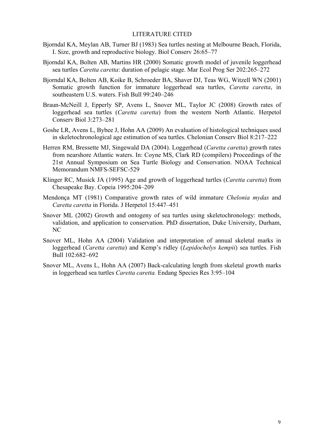## LITERATURE CITED

- Bjorndal KA, Meylan AB, Turner BJ (1983) Sea turtles nesting at Melbourne Beach, Florida, I. Size, growth and reproductive biology. Biol Conserv 26:65–77
- Bjorndal KA, Bolten AB, Martins HR (2000) Somatic growth model of juvenile loggerhead sea turtles *Caretta caretta*: duration of pelagic stage. Mar Ecol Prog Ser 202:265–272
- Bjorndal KA, Bolten AB, Koike B, Schroeder BA, Shaver DJ, Teas WG, Witzell WN (2001) Somatic growth function for immature loggerhead sea turtles, *Caretta caretta*, in southeastern U.S. waters. Fish Bull 99:240–246
- Braun-McNeill J, Epperly SP, Avens L, Snover ML, Taylor JC (2008) Growth rates of loggerhead sea turtles (*Caretta caretta*) from the western North Atlantic. Herpetol Conserv Biol 3:273–281
- Goshe LR, Avens L, Bybee J, Hohn AA (2009) An evaluation of histological techniques used in skeletochronological age estimation of sea turtles. Chelonian Conserv Biol 8:217–222
- Herren RM, Bressette MJ, Singewald DA (2004). Loggerhead (*Caretta caretta*) growth rates from nearshore Atlantic waters. In: Coyne MS, Clark RD (compilers) Proceedings of the 21st Annual Symposium on Sea Turtle Biology and Conservation. NOAA Technical Memorandum NMFS-SEFSC-529
- Klinger RC, Musick JA (1995) Age and growth of loggerhead turtles (*Caretta caretta*) from Chesapeake Bay. Copeia 1995:204–209
- Mendonça MT (1981) Comparative growth rates of wild immature *Chelonia mydas* and *Caretta caretta* in Florida. J Herpetol 15:447–451
- Snover ML (2002) Growth and ontogeny of sea turtles using skeletochronology: methods, validation, and application to conservation. PhD dissertation, Duke University, Durham, NC
- Snover ML, Hohn AA (2004) Validation and interpretation of annual skeletal marks in loggerhead (*Caretta caretta*) and Kemp's ridley (*Lepidochelys kempii*) sea turtles. Fish Bull 102:682–692
- Snover ML, Avens L, Hohn AA (2007) Back-calculating length from skeletal growth marks in loggerhead sea turtles *Caretta caretta.* Endang Species Res 3:95–104